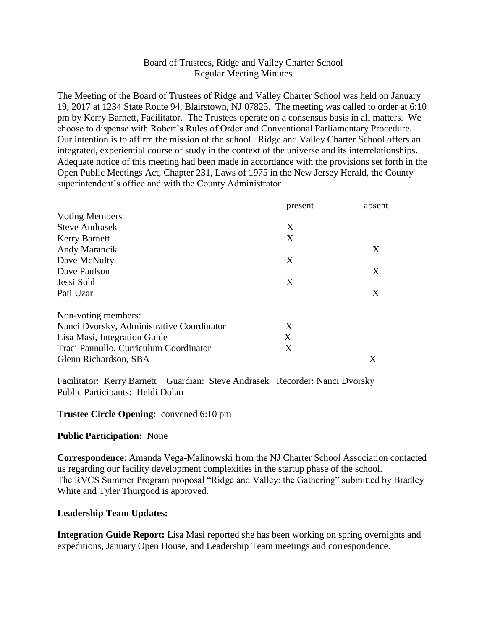# Board of Trustees, Ridge and Valley Charter School Regular Meeting Minutes

The Meeting of the Board of Trustees of Ridge and Valley Charter School was held on January 19, 2017 at 1234 State Route 94, Blairstown, NJ 07825. The meeting was called to order at 6:10 pm by Kerry Barnett, Facilitator. The Trustees operate on a consensus basis in all matters. We choose to dispense with Robert's Rules of Order and Conventional Parliamentary Procedure. Our intention is to affirm the mission of the school. Ridge and Valley Charter School offers an integrated, experiential course of study in the context of the universe and its interrelationships. Adequate notice of this meeting had been made in accordance with the provisions set forth in the Open Public Meetings Act, Chapter 231, Laws of 1975 in the New Jersey Herald, the County superintendent's office and with the County Administrator.

|                                           | present | absent |
|-------------------------------------------|---------|--------|
| <b>Voting Members</b>                     |         |        |
| <b>Steve Andrasek</b>                     | X       |        |
| <b>Kerry Barnett</b>                      | X       |        |
| Andy Marancik                             |         | X      |
| Dave McNulty                              | X       |        |
| Dave Paulson                              |         | X      |
| Jessi Sohl                                | X       |        |
| Pati Uzar                                 |         | X      |
| Non-voting members:                       |         |        |
| Nanci Dvorsky, Administrative Coordinator | X       |        |
| Lisa Masi, Integration Guide              | X       |        |
| Traci Pannullo, Curriculum Coordinator    | Χ       |        |
| Glenn Richardson, SBA                     |         | Χ      |

Facilitator: Kerry Barnett Guardian: Steve Andrasek Recorder: Nanci Dvorsky Public Participants: Heidi Dolan

### **Trustee Circle Opening:** convened 6:10 pm

### **Public Participation:** None

**Correspondence**: Amanda Vega-Malinowski from the NJ Charter School Association contacted us regarding our facility development complexities in the startup phase of the school. The RVCS Summer Program proposal "Ridge and Valley: the Gathering" submitted by Bradley White and Tyler Thurgood is approved.

### **Leadership Team Updates:**

**Integration Guide Report:** Lisa Masi reported she has been working on spring overnights and expeditions, January Open House, and Leadership Team meetings and correspondence.